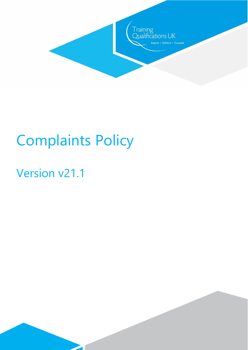

# Complaints Policy

 $\overline{\phantom{a}}$ 

# Version v21.1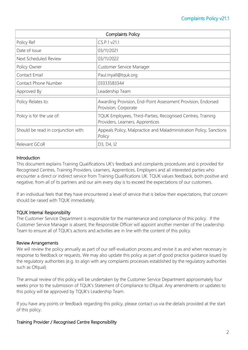| <b>Complaints Policy</b>            |                                                                                                 |
|-------------------------------------|-------------------------------------------------------------------------------------------------|
| Policy Ref                          | CS.P.1 v21.1                                                                                    |
| Date of Issue                       | 03/11/2021                                                                                      |
| Next Scheduled Review               | 03/11/2022                                                                                      |
| Policy Owner                        | Customer Service Manager                                                                        |
| Contact Email                       | Paul.myall@tquk.org                                                                             |
| <b>Contact Phone Number</b>         | 03333583344                                                                                     |
| Approved By                         | Leadership Team                                                                                 |
| Policy Relates to:                  | Awarding Provision, End-Point Assessment Provision, Endorsed<br>Provision, Corporate            |
| Policy is for the use of:           | TQUK Employees, Third-Parties, Recognised Centres, Training<br>Providers, Learners, Apprentices |
| Should be read in conjunction with: | Appeals Policy, Malpractice and Maladministration Policy, Sanctions<br>Policy                   |
| Relevant GCoR                       | D3, D4, I2                                                                                      |

#### Introduction

This document explains Training Qualifications UK's feedback and complaints procedures and is provided for Recognised Centres, Training Providers, Learners, Apprentices, Employers and all interested parties who encounter a direct or indirect service from Training Qualifications UK. TQUK values feedback, both positive and negative, from all of its partners and our aim every day is to exceed the expectations of our customers.

If an individual feels that they have encountered a level of service that is below their expectations, that concern should be raised with TQUK immediately.

#### TQUK Internal Responsibility

The Customer Service Department is responsible for the maintenance and compliance of this policy. If the Customer Service Manager is absent, the Responsible Officer will appoint another member of the Leadership Team to ensure all of TQUK's actions and activities are in line with the content of this policy.

#### Review Arrangements

We will review the policy annually as part of our self-evaluation process and revise it as and when necessary in response to feedback or requests. We may also update this policy as part of good practice guidance issued by the regulatory authorities (e.g. to align with any complaints processes established by the regulatory authorities such as Ofqual).

The annual review of this policy will be undertaken by the Customer Service Department approximately four weeks prior to the submission of TQUK's Statement of Compliance to Ofqual. Any amendments or updates to this policy will be approved by TQUK's Leadership Team.

If you have any points or feedback regarding this policy, please contact us via the details provided at the start of this policy.

#### Training Provider / Recognised Centre Responsibility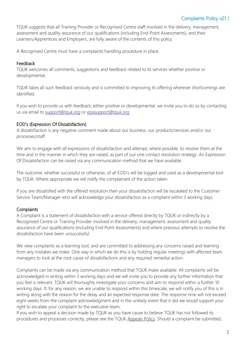TQUK suggests that all Training Provider or Recognised Centre staff involved in the delivery, management, assessment and quality assurance of our qualifications (including End-Point Assessments), and their Learners/Apprentices and Employers, are fully aware of the contents of this policy.

A Recognised Centre must have a complaints handling procedure in place.

#### **Feedback**

TQUK welcomes all comments, suggestions and feedback related to its services whether positive or developmental.

TQUK takes all such feedback seriously and is committed to improving its offering wherever shortcomings are identified.

If you wish to provide us with feedback, either positive or developmental, we invite you to do so by contacting us via email to [support@tquk.org](mailto:support@tquk.org) or [epasupport@tquk.org](mailto:epasupport@tquk.org)

#### EOD's (Expression Of Dissatisfaction)

A dissatisfaction is any negative comment made about our business, our products/services and/or our processes/staff.

We aim to engage with all expressions of dissatisfaction and attempt, where possible, to resolve them at the time and in the manner in which they are raised, as part of our one contact resolution strategy. An Expression Of Dissatisfaction can be raised via any communication method that we have available.

The outcome, whether successful or otherwise, of all EOD's will be logged and used as a developmental tool by TQUK. Where appropriate we will notify the complainant of the action taken.

If you are dissatisfied with the offered resolution then your dissatisfaction will be escalated to the Customer Service Team/Manager who will acknowledge your dissatisfaction as a complaint within 3 working days.

# **Complaints**

A Complaint is a statement of dissatisfaction with a service offered directly by TQUK or indirectly by a Recognised Centre or Training Provider involved in the delivery, management, assessment and quality assurance of our qualifications (including End-Point Assessments) and where previous attempts to resolve the dissatisfaction have been unsuccessful.

We view complaints as a learning tool, and are committed to addressing any concerns raised and learning from any mistakes we make. One way in which we do this is by holding regular meetings with affected team managers to look at the root cause of dissatisfactions and any required remedial action.

Complaints can be made via any communication method that TQUK make available. All complaints will be acknowledged in writing within 3 working days and we will invite you to provide any further information that you feel is relevant. TQUK will thoroughly investigate your concerns and aim to respond within a further 10 working days. If, for any reason, we are unable to respond within this timescale, we will notify you of this is in writing along with the reason for the delay and an expected response date. The response time will not exceed eight weeks from the complaint acknowledgment and in the unlikely event that it did we would support your right to escalate your complaint to the executive team.

If you wish to appeal a decision made by TQUK as you have cause to believe TQUK has not followed its procedures and processes correctly, please see the TQUK [Appeals Policy.](https://www.tquk.org/quality-corner/) Should a complaint be submitted,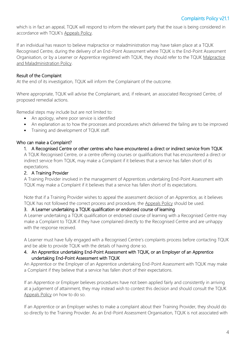which is in fact an appeal, TQUK will respond to inform the relevant party that the issue is being considered in accordance with TQUK's [Appeals Policy.](https://www.tquk.org/quality-corner/)

If an individual has reason to believe malpractice or maladministration may have taken place at a TQUK Recognised Centre, during the delivery of an End-Point Assessment where TQUK is the End-Point Assessment Organisation, or by a Learner or Apprentice registered with TQUK, they should refer to the TQUK [Malpractice](https://www.tquk.org/quality-corner/)  [and Maladministration Policy.](https://www.tquk.org/quality-corner/)

## Result of the Complaint

At the end of its investigation, TQUK will inform the Complainant of the outcome.

Where appropriate, TQUK will advise the Complainant, and, if relevant, an associated Recognised Centre, of proposed remedial actions.

Remedial steps may include but are not limited to:

- An apology, where poor service is identified
- An explanation as to how the processes and procedures which delivered the failing are to be improved
- Training and development of TQUK staff.

#### Who can make a Complaint?

#### 1. A Recognised Centre or other centres who have encountered a direct or indirect service from TQUK

A TQUK Recognised Centre, or a centre offering courses or qualifications that has encountered a direct or indirect service from TQUK, may make a Complaint if it believes that a service has fallen short of its expectations.

#### 2. A Training Provider

A Training Provider involved in the management of Apprentices undertaking End-Point Assessment with TQUK may make a Complaint if it believes that a service has fallen short of its expectations.

Note that if a Training Provider wishes to appeal the assessment decision of an Apprentice, as it believes TQUK has not followed the correct process and procedure, the [Appeals Policy](https://www.tquk.org/quality-corner/) should be used.

#### 3. A Learner undertaking a TQUK qualification or endorsed course of learning

A Learner undertaking a TQUK qualification or endorsed course of learning with a Recognised Centre may make a Complaint to TQUK if they have complained directly to the Recognised Centre and are unhappy with the response received.

A Learner must have fully engaged with a Recognised Centre's complaints process before contacting TQUK and be able to provide TQUK with the details of having done so.

#### 4. An Apprentice undertaking End-Point Assessment with TQUK, or an Employer of an Apprentice undertaking End-Point Assessment with TQUK

An Apprentice or the Employer of an Apprentice undertaking End-Point Assessment with TQUK may make a Complaint if they believe that a service has fallen short of their expectations.

If an Apprentice or Employer believes procedures have not been applied fairly and consistently in arriving at a judgement of attainment, they may instead wish to contest this decision and should consult the TQUK [Appeals Policy](https://www.tquk.org/quality-corner/) on how to do so.

If an Apprentice or an Employer wishes to make a complaint about their Training Provider, they should do so directly to the Training Provider. As an End-Point Assessment Organisation, TQUK is not associated with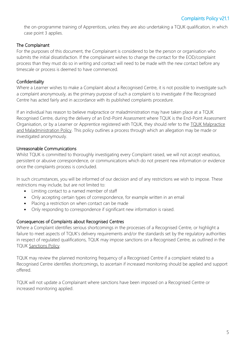the on-programme training of Apprentices, unless they are also undertaking a TQUK qualification, in which case point 3 applies.

#### The Complainant

For the purposes of this document, the Complainant is considered to be the person or organisation who submits the initial dissatisfaction. If the complainant wishes to change the contact for the EOD/complaint process than they must do so in writing and contact will need to be made with the new contact before any timescale or process is deemed to have commenced.

#### **Confidentiality**

Where a Learner wishes to make a Complaint about a Recognised Centre, it is not possible to investigate such a complaint anonymously, as the primary purpose of such a complaint is to investigate if the Recognised Centre has acted fairly and in accordance with its published complaints procedure.

If an individual has reason to believe malpractice or maladministration may have taken place at a TQUK Recognised Centre, during the delivery of an End-Point Assessment where TQUK is the End-Point Assessment Organisation, or by a Learner or Apprentice registered with TQUK, they should refer to the TQUK Malpractice [and Maladministration Policy.](https://www.tquk.org/quality-corner/) This policy outlines a process through which an allegation may be made or investigated anonymously.

## Unreasonable Communications

Whilst TQUK is committed to thoroughly investigating every Complaint raised, we will not accept vexatious, persistent or abusive correspondence, or communications which do not present new information or evidence once the complaints process is concluded.

In such circumstances, you will be informed of our decision and of any restrictions we wish to impose. These restrictions may include, but are not limited to:

- Limiting contact to a named member of staff
- Only accepting certain types of correspondence, for example written in an email
- Placing a restriction on when contact can be made
- Only responding to correspondence if significant new information is raised.

#### Consequences of Complaints about Recognised Centres

Where a Complaint identifies serious shortcomings in the processes of a Recognised Centre, or highlight a failure to meet aspects of TQUK's delivery requirements and/or the standards set by the regulatory authorities in respect of regulated qualifications, TQUK may impose sanctions on a Recognised Centre, as outlined in the TQUK [Sanctions Policy.](https://www.tquk.org/quality-corner/)

TQUK may review the planned monitoring frequency of a Recognised Centre if a complaint related to a Recognised Centre identifies shortcomings, to ascertain if increased monitoring should be applied and support offered.

TQUK will not update a Complainant where sanctions have been imposed on a Recognised Centre or increased monitoring applied.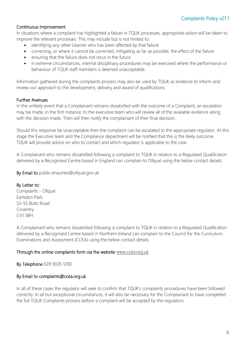#### Continuous Improvement

In situations where a complaint has highlighted a failure in TQUK processes, appropriate action will be taken to improve the relevant processes. This may include but is not limited to:

- identifying any other Learner who has been affected by that failure
- correcting, or where it cannot be corrected, mitigating as far as possible, the effect of the failure
- ensuring that the failure does not recur in the future
- in extreme circumstances, internal disciplinary procedures may be exercised where the performance or behaviour of TQUK staff members is deemed unacceptable.

Information gathered during the complaints process may also be used by TQUK as evidence to inform and review our approach to the development, delivery and award of qualifications.

#### Further Avenues

In the unlikely event that a Complainant remains dissatisfied with the outcome of a Complaint, an escalation may be made, in the first instance, to the executive team who will review all of the available evidence along with the decision made. Then will then notify the complainant of their final decision.

Should this response be unacceptable then the complaint can be escalated to the appropriate regulator. At this stage the Executive team and the Compliance department will be notified that this is the likely outcome. TQUK will provide advice on who to contact and which regulator is applicable to the case.

A Complainant who remains dissatisfied following a complaint to TQUK in relation to a Regulated Qualification delivered by a Recognised Centre based in England can complain to Ofqual using the below contact details:

By Email to public.enquiries@ofqual.gov.uk

#### By Letter to:

Complaints - Ofqual Earlsdon Park 53-55 Butts Road Coventry CV1 3BH

A Complainant who remains dissatisfied following a complaint to TQUK in relation to a Regulated Qualification delivered by a Recognised Centre based in Northern Ireland can complain to the Council for the Curriculum, Examinations and Assessment (CCEA) using the below contact details:

#### Through the online complaints form via the website [www.ccea.org.uk](http://www.ccea.org.uk/)

By Telephone 028 9026 1200

#### By Email to complaints@ccea.org.uk

In all of these cases the regulator will seek to confirm that TQUK's complaints procedures have been followed correctly. In all but exceptional circumstances, it will also be necessary for the Complainant to have completed the full TQUK Complaints process before a complaint will be accepted by the regulators.